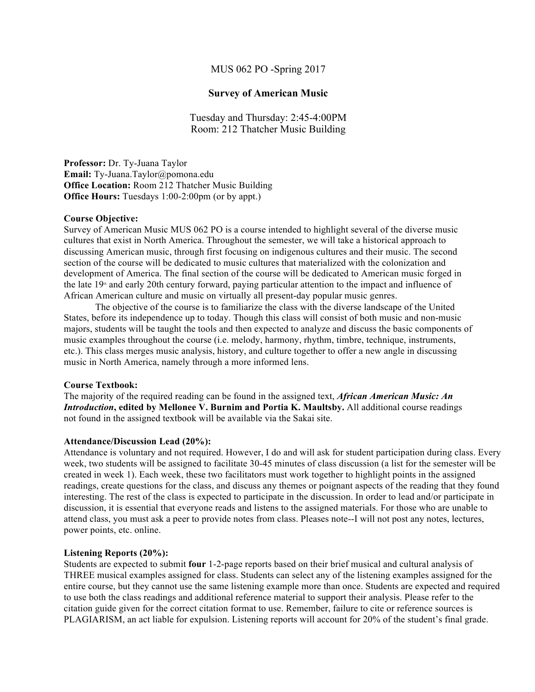# MUS 062 PO -Spring 2017

# **Survey of American Music**

Tuesday and Thursday: 2:45-4:00PM Room: 212 Thatcher Music Building

**Professor:** Dr. Ty-Juana Taylor **Email:** Ty-Juana.Taylor@pomona.edu **Office Location:** Room 212 Thatcher Music Building **Office Hours:** Tuesdays 1:00-2:00pm (or by appt.)

# **Course Objective:**

Survey of American Music MUS 062 PO is a course intended to highlight several of the diverse music cultures that exist in North America. Throughout the semester, we will take a historical approach to discussing American music, through first focusing on indigenous cultures and their music. The second section of the course will be dedicated to music cultures that materialized with the colonization and development of America. The final section of the course will be dedicated to American music forged in the late  $19<sup>*</sup>$  and early 20th century forward, paying particular attention to the impact and influence of African American culture and music on virtually all present-day popular music genres.

The objective of the course is to familiarize the class with the diverse landscape of the United States, before its independence up to today. Though this class will consist of both music and non-music majors, students will be taught the tools and then expected to analyze and discuss the basic components of music examples throughout the course (i.e. melody, harmony, rhythm, timbre, technique, instruments, etc.). This class merges music analysis, history, and culture together to offer a new angle in discussing music in North America, namely through a more informed lens.

# **Course Textbook:**

The majority of the required reading can be found in the assigned text, *African American Music: An Introduction***, edited by Mellonee V. Burnim and Portia K. Maultsby.** All additional course readings not found in the assigned textbook will be available via the Sakai site.

# **Attendance/Discussion Lead (20%):**

Attendance is voluntary and not required. However, I do and will ask for student participation during class. Every week, two students will be assigned to facilitate 30-45 minutes of class discussion (a list for the semester will be created in week 1). Each week, these two facilitators must work together to highlight points in the assigned readings, create questions for the class, and discuss any themes or poignant aspects of the reading that they found interesting. The rest of the class is expected to participate in the discussion. In order to lead and/or participate in discussion, it is essential that everyone reads and listens to the assigned materials. For those who are unable to attend class, you must ask a peer to provide notes from class. Pleases note--I will not post any notes, lectures, power points, etc. online.

# **Listening Reports (20%):**

Students are expected to submit **four** 1-2-page reports based on their brief musical and cultural analysis of THREE musical examples assigned for class. Students can select any of the listening examples assigned for the entire course, but they cannot use the same listening example more than once. Students are expected and required to use both the class readings and additional reference material to support their analysis. Please refer to the citation guide given for the correct citation format to use. Remember, failure to cite or reference sources is PLAGIARISM, an act liable for expulsion. Listening reports will account for 20% of the student's final grade.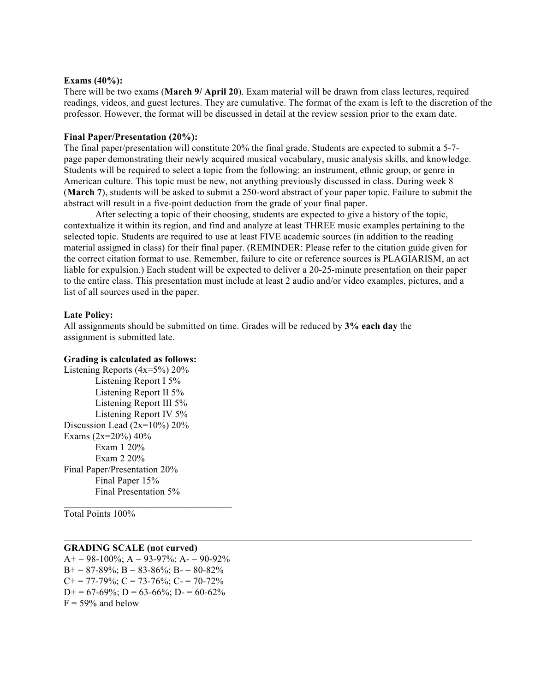#### **Exams (40%):**

There will be two exams (**March 9/ April 20**). Exam material will be drawn from class lectures, required readings, videos, and guest lectures. They are cumulative. The format of the exam is left to the discretion of the professor. However, the format will be discussed in detail at the review session prior to the exam date.

### **Final Paper/Presentation (20%):**

The final paper/presentation will constitute 20% the final grade. Students are expected to submit a 5-7 page paper demonstrating their newly acquired musical vocabulary, music analysis skills, and knowledge. Students will be required to select a topic from the following: an instrument, ethnic group, or genre in American culture. This topic must be new, not anything previously discussed in class. During week 8 (**March 7**), students will be asked to submit a 250-word abstract of your paper topic. Failure to submit the abstract will result in a five-point deduction from the grade of your final paper.

After selecting a topic of their choosing, students are expected to give a history of the topic, contextualize it within its region, and find and analyze at least THREE music examples pertaining to the selected topic. Students are required to use at least FIVE academic sources (in addition to the reading material assigned in class) for their final paper. (REMINDER: Please refer to the citation guide given for the correct citation format to use. Remember, failure to cite or reference sources is PLAGIARISM, an act liable for expulsion.) Each student will be expected to deliver a 20-25-minute presentation on their paper to the entire class. This presentation must include at least 2 audio and/or video examples, pictures, and a list of all sources used in the paper.

#### **Late Policy:**

All assignments should be submitted on time. Grades will be reduced by **3% each day** the assignment is submitted late.

#### **Grading is calculated as follows:**

Listening Reports  $(4x=5\%)$  20% Listening Report I 5% Listening Report II 5% Listening Report III 5% Listening Report IV 5% Discussion Lead (2x=10%) 20% Exams  $(2x=20\%) 40\%$ Exam 1 20% Exam 2 20% Final Paper/Presentation 20% Final Paper 15% Final Presentation 5%

Total Points 100%

# **GRADING SCALE (not curved)**

 $A+= 98-100\%$ ;  $A = 93-97\%$ ;  $A = 90-92\%$  $B+= 87-89\%$ ;  $B = 83-86\%$ ;  $B = 80-82\%$  $C_{+}$  = 77-79%;  $C = 73$ -76%;  $C_{-}$  = 70-72%  $D+= 67-69\%$ ;  $D= 63-66\%$ ;  $D= 60-62\%$  $F = 59\%$  and below

 $\mathcal{L}_\text{max}$  and the set of the set of the set of the set of the set of the set of the set of the set of the set of the set of the set of the set of the set of the set of the set of the set of the set of the set of the s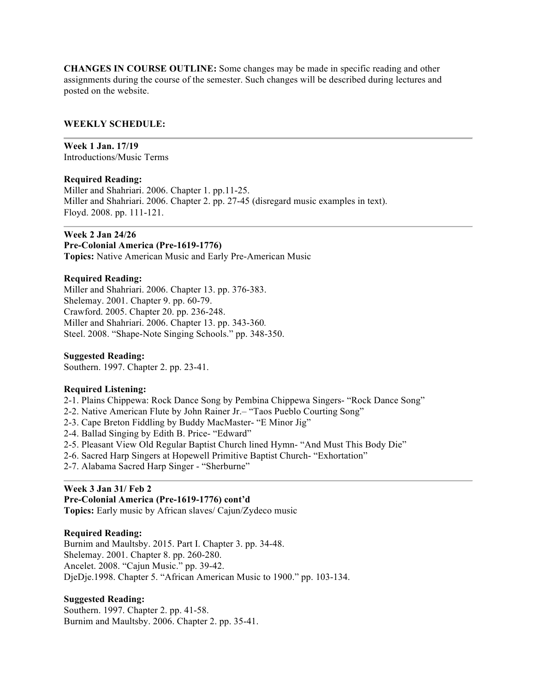**CHANGES IN COURSE OUTLINE:** Some changes may be made in specific reading and other assignments during the course of the semester. Such changes will be described during lectures and posted on the website.

# **WEEKLY SCHEDULE:**

**Week 1 Jan. 17/19** Introductions/Music Terms

# **Required Reading:**

Miller and Shahriari. 2006. Chapter 1. pp.11-25. Miller and Shahriari. 2006. Chapter 2. pp. 27-45 (disregard music examples in text). Floyd. 2008. pp. 111-121.

**Week 2 Jan 24/26 Pre-Colonial America (Pre-1619-1776) Topics:** Native American Music and Early Pre-American Music

# **Required Reading:**

Miller and Shahriari. 2006. Chapter 13. pp. 376-383. Shelemay. 2001. Chapter 9. pp. 60-79. Crawford. 2005. Chapter 20. pp. 236-248. Miller and Shahriari. 2006. Chapter 13. pp. 343-360*.* Steel. 2008. "Shape-Note Singing Schools." pp. 348-350.

# **Suggested Reading:**

Southern. 1997. Chapter 2. pp. 23-41.

# **Required Listening:**

- 2-1. Plains Chippewa: Rock Dance Song by Pembina Chippewa Singers- "Rock Dance Song"
- 2-2. Native American Flute by John Rainer Jr.– "Taos Pueblo Courting Song"
- 2-3. Cape Breton Fiddling by Buddy MacMaster- "E Minor Jig"
- 2-4. Ballad Singing by Edith B. Price- "Edward"
- 2-5. Pleasant View Old Regular Baptist Church lined Hymn- "And Must This Body Die"
- 2-6. Sacred Harp Singers at Hopewell Primitive Baptist Church- "Exhortation"
- 2-7. Alabama Sacred Harp Singer "Sherburne"

# **Week 3 Jan 31/ Feb 2**

# **Pre-Colonial America (Pre-1619-1776) cont'd**

**Topics:** Early music by African slaves/ Cajun/Zydeco music

# **Required Reading:**

Burnim and Maultsby. 2015. Part I. Chapter 3. pp. 34-48. Shelemay. 2001. Chapter 8. pp. 260-280. Ancelet. 2008. "Cajun Music." pp. 39-42. DjeDje.1998. Chapter 5. "African American Music to 1900." pp. 103-134.

# **Suggested Reading:**

Southern. 1997. Chapter 2. pp. 41-58. Burnim and Maultsby. 2006. Chapter 2. pp. 35-41.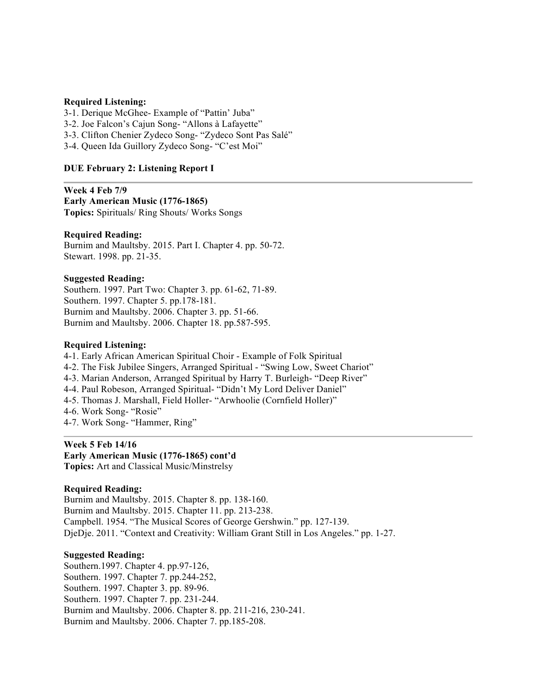# **Required Listening:**

3-1. Derique McGhee- Example of "Pattin' Juba"

3-2. Joe Falcon's Cajun Song- "Allons à Lafayette"

3-3. Clifton Chenier Zydeco Song- "Zydeco Sont Pas Salé"

3-4. Queen Ida Guillory Zydeco Song- "C'est Moi"

# **DUE February 2: Listening Report I**

**Week 4 Feb 7/9 Early American Music (1776-1865) Topics:** Spirituals/ Ring Shouts/ Works Songs

# **Required Reading:**

Burnim and Maultsby. 2015. Part I. Chapter 4. pp. 50-72. Stewart. 1998. pp. 21-35.

# **Suggested Reading:**

Southern. 1997. Part Two: Chapter 3. pp. 61-62, 71-89. Southern. 1997. Chapter 5. pp.178-181. Burnim and Maultsby. 2006. Chapter 3. pp. 51-66. Burnim and Maultsby. 2006. Chapter 18. pp.587-595.

# **Required Listening:**

4-1. Early African American Spiritual Choir - Example of Folk Spiritual

- 4-2. The Fisk Jubilee Singers, Arranged Spiritual "Swing Low, Sweet Chariot"
- 4-3. Marian Anderson, Arranged Spiritual by Harry T. Burleigh- "Deep River"
- 4-4. Paul Robeson, Arranged Spiritual- "Didn't My Lord Deliver Daniel"
- 4-5. Thomas J. Marshall, Field Holler- "Arwhoolie (Cornfield Holler)"
- 4-6. Work Song- "Rosie"
- 4-7. Work Song- "Hammer, Ring"

# **Week 5 Feb 14/16**

# **Early American Music (1776-1865) cont'd**

**Topics:** Art and Classical Music/Minstrelsy

# **Required Reading:**

Burnim and Maultsby. 2015. Chapter 8. pp. 138-160. Burnim and Maultsby. 2015. Chapter 11. pp. 213-238. Campbell. 1954. "The Musical Scores of George Gershwin." pp. 127-139. DjeDje. 2011. "Context and Creativity: William Grant Still in Los Angeles." pp. 1-27.

# **Suggested Reading:**

Southern.1997. Chapter 4. pp.97-126, Southern. 1997. Chapter 7. pp.244-252, Southern. 1997. Chapter 3. pp. 89-96. Southern. 1997. Chapter 7. pp. 231-244. Burnim and Maultsby. 2006. Chapter 8. pp. 211-216, 230-241. Burnim and Maultsby. 2006. Chapter 7. pp.185-208.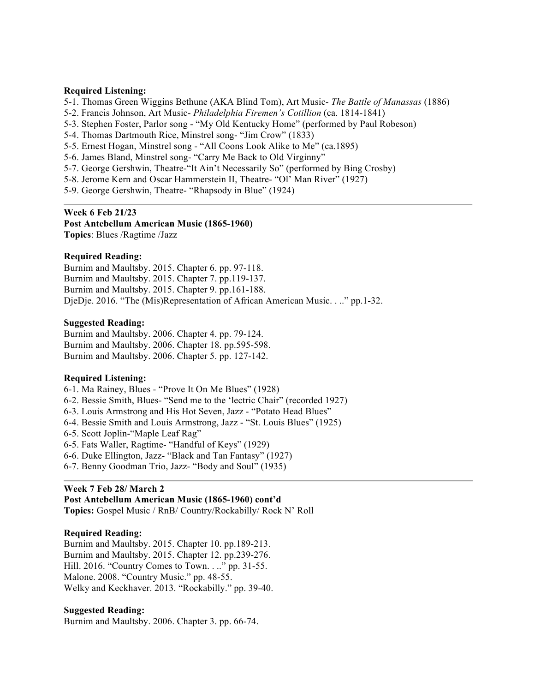### **Required Listening:**

- 5-1. Thomas Green Wiggins Bethune (AKA Blind Tom), Art Music- *The Battle of Manassas* (1886)
- 5-2. Francis Johnson, Art Music- *Philadelphia Firemen's Cotillion* (ca. 1814-1841)
- 5-3. Stephen Foster, Parlor song "My Old Kentucky Home" (performed by Paul Robeson)
- 5-4. Thomas Dartmouth Rice, Minstrel song- "Jim Crow" (1833)
- 5-5. Ernest Hogan, Minstrel song "All Coons Look Alike to Me" (ca.1895)
- 5-6. James Bland, Minstrel song- "Carry Me Back to Old Virginny"
- 5-7. George Gershwin, Theatre-"It Ain't Necessarily So" (performed by Bing Crosby)
- 5-8. Jerome Kern and Oscar Hammerstein II, Theatre- "Ol' Man River" (1927)
- 5-9. George Gershwin, Theatre- "Rhapsody in Blue" (1924)

#### **Week 6 Feb 21/23**

**Post Antebellum American Music (1865-1960)**

**Topics**: Blues /Ragtime /Jazz

# **Required Reading:**

Burnim and Maultsby. 2015. Chapter 6. pp. 97-118. Burnim and Maultsby. 2015. Chapter 7. pp.119-137. Burnim and Maultsby. 2015. Chapter 9. pp.161-188. DjeDje. 2016. "The (Mis)Representation of African American Music. . .." pp.1-32.

#### **Suggested Reading:**

Burnim and Maultsby. 2006. Chapter 4. pp. 79-124. Burnim and Maultsby. 2006. Chapter 18. pp.595-598. Burnim and Maultsby. 2006. Chapter 5. pp. 127-142.

#### **Required Listening:**

6-1. Ma Rainey, Blues - "Prove It On Me Blues" (1928)

- 6-2. Bessie Smith, Blues- "Send me to the 'lectric Chair" (recorded 1927)
- 6-3. Louis Armstrong and His Hot Seven, Jazz "Potato Head Blues"
- 6-4. Bessie Smith and Louis Armstrong, Jazz "St. Louis Blues" (1925)
- 6-5. Scott Joplin-"Maple Leaf Rag"
- 6-5. Fats Waller, Ragtime- "Handful of Keys" (1929)
- 6-6. Duke Ellington, Jazz- "Black and Tan Fantasy" (1927)
- 6-7. Benny Goodman Trio, Jazz- "Body and Soul" (1935)

# **Week 7 Feb 28/ March 2**

### **Post Antebellum American Music (1865-1960) cont'd**

**Topics:** Gospel Music / RnB/ Country/Rockabilly/ Rock N' Roll

# **Required Reading:**

Burnim and Maultsby. 2015. Chapter 10. pp.189-213. Burnim and Maultsby. 2015. Chapter 12. pp.239-276. Hill. 2016. "Country Comes to Town. . .." pp. 31-55. Malone. 2008. "Country Music." pp. 48-55. Welky and Keckhaver. 2013. "Rockabilly." pp. 39-40.

#### **Suggested Reading:**

Burnim and Maultsby. 2006. Chapter 3. pp. 66-74.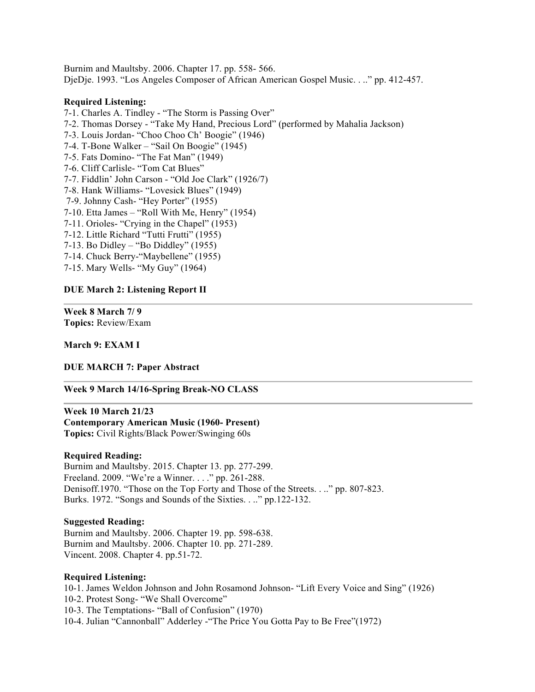Burnim and Maultsby. 2006. Chapter 17. pp. 558- 566. DjeDje. 1993. "Los Angeles Composer of African American Gospel Music. . .." pp. 412-457.

#### **Required Listening:**

- 7-1. Charles A. Tindley "The Storm is Passing Over"
- 7-2. Thomas Dorsey "Take My Hand, Precious Lord" (performed by Mahalia Jackson)
- 7-3. Louis Jordan- "Choo Choo Ch' Boogie" (1946)
- 7-4. T-Bone Walker "Sail On Boogie" (1945)
- 7-5. Fats Domino- "The Fat Man" (1949)
- 7-6. Cliff Carlisle- "Tom Cat Blues"
- 7-7. Fiddlin' John Carson "Old Joe Clark" (1926/7)
- 7-8. Hank Williams- "Lovesick Blues" (1949)
- 7-9. Johnny Cash- "Hey Porter" (1955)
- 7-10. Etta James "Roll With Me, Henry" (1954)
- 7-11. Orioles- "Crying in the Chapel" (1953)
- 7-12. Little Richard "Tutti Frutti" (1955)
- 7-13. Bo Didley "Bo Diddley" (1955)
- 7-14. Chuck Berry-"Maybellene" (1955)
- 7-15. Mary Wells- "My Guy" (1964)

#### **DUE March 2: Listening Report II**

**Week 8 March 7/ 9 Topics:** Review/Exam

### **March 9: EXAM I**

#### **DUE MARCH 7: Paper Abstract**

### **Week 9 March 14/16-Spring Break-NO CLASS**

**Week 10 March 21/23 Contemporary American Music (1960- Present) Topics:** Civil Rights/Black Power/Swinging 60s

#### **Required Reading:**

Burnim and Maultsby. 2015. Chapter 13. pp. 277-299. Freeland. 2009. "We're a Winner. . . ." pp. 261-288. Denisoff.1970. "Those on the Top Forty and Those of the Streets. . .." pp. 807-823. Burks. 1972. "Songs and Sounds of the Sixties. . .." pp.122-132.

# **Suggested Reading:**

Burnim and Maultsby. 2006. Chapter 19. pp. 598-638. Burnim and Maultsby. 2006. Chapter 10. pp. 271-289. Vincent. 2008. Chapter 4. pp.51-72.

#### **Required Listening:**

10-1. James Weldon Johnson and John Rosamond Johnson- "Lift Every Voice and Sing" (1926) 10-2. Protest Song- "We Shall Overcome" 10-3. The Temptations- "Ball of Confusion" (1970) 10-4. Julian "Cannonball" Adderley -"The Price You Gotta Pay to Be Free"(1972)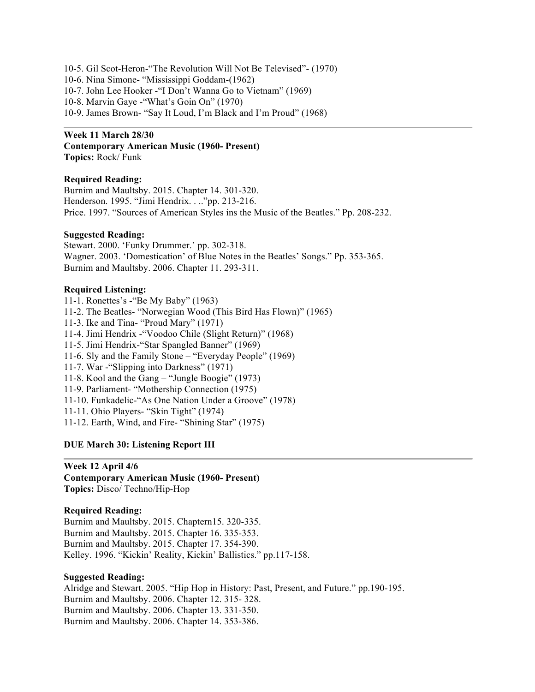10-5. Gil Scot-Heron-"The Revolution Will Not Be Televised"- (1970) 10-6. Nina Simone- "Mississippi Goddam-(1962) 10-7. John Lee Hooker -"I Don't Wanna Go to Vietnam" (1969) 10-8. Marvin Gaye -"What's Goin On" (1970) 10-9. James Brown- "Say It Loud, I'm Black and I'm Proud" (1968)

#### **Week 11 March 28/30**

**Contemporary American Music (1960- Present) Topics:** Rock/ Funk

#### **Required Reading:**

Burnim and Maultsby. 2015. Chapter 14. 301-320. Henderson. 1995. "Jimi Hendrix. . .."pp. 213-216. Price. 1997. "Sources of American Styles ins the Music of the Beatles." Pp. 208-232.

#### **Suggested Reading:**

Stewart. 2000. 'Funky Drummer.' pp. 302-318. Wagner. 2003. 'Domestication' of Blue Notes in the Beatles' Songs." Pp. 353-365. Burnim and Maultsby. 2006. Chapter 11. 293-311.

#### **Required Listening:**

- 11-1. Ronettes's -"Be My Baby" (1963)
- 11-2. The Beatles- "Norwegian Wood (This Bird Has Flown)" (1965)
- 11-3. Ike and Tina- "Proud Mary" (1971)
- 11-4. Jimi Hendrix -"Voodoo Chile (Slight Return)" (1968)
- 11-5. Jimi Hendrix-"Star Spangled Banner" (1969)
- 11-6. Sly and the Family Stone "Everyday People" (1969)
- 11-7. War -"Slipping into Darkness" (1971)
- 11-8. Kool and the Gang "Jungle Boogie" (1973)
- 11-9. Parliament- "Mothership Connection (1975)
- 11-10. Funkadelic-"As One Nation Under a Groove" (1978)
- 11-11. Ohio Players- "Skin Tight" (1974)
- 11-12. Earth, Wind, and Fire- "Shining Star" (1975)

# **DUE March 30: Listening Report III**

# **Week 12 April 4/6 Contemporary American Music (1960- Present) Topics:** Disco/ Techno/Hip-Hop

# **Required Reading:**

Burnim and Maultsby. 2015. Chaptern15. 320-335. Burnim and Maultsby. 2015. Chapter 16. 335-353. Burnim and Maultsby. 2015. Chapter 17. 354-390. Kelley. 1996. "Kickin' Reality, Kickin' Ballistics." pp.117-158.

#### **Suggested Reading:**

Alridge and Stewart. 2005. "Hip Hop in History: Past, Present, and Future." pp.190-195. Burnim and Maultsby. 2006. Chapter 12. 315- 328. Burnim and Maultsby. 2006. Chapter 13. 331-350. Burnim and Maultsby. 2006. Chapter 14. 353-386.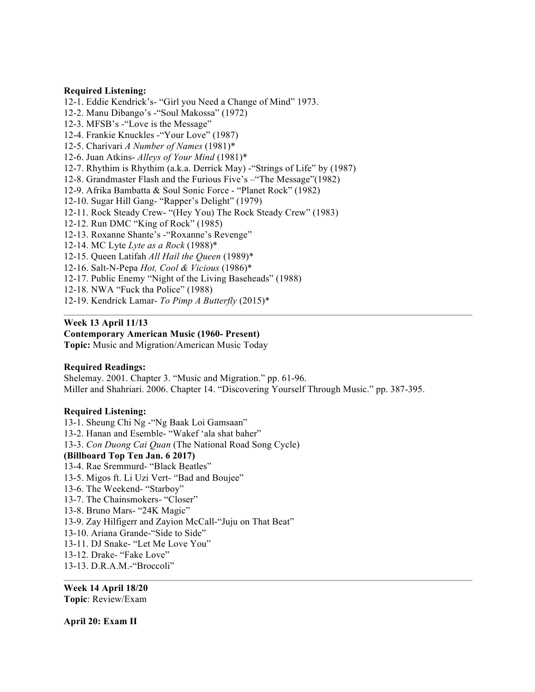# **Required Listening:**

12-1. Eddie Kendrick's- "Girl you Need a Change of Mind" 1973.

12-2. Manu Dibango's -"Soul Makossa" (1972)

12-3. MFSB's -"Love is the Message"

12-4. Frankie Knuckles -"Your Love" (1987)

12-5. Charivari *A Number of Names* (1981)\*

12-6. Juan Atkins- *Alleys of Your Mind* (1981)\*

12-7. Rhythim is Rhythim (a.k.a. Derrick May) -"Strings of Life" by (1987)

12-8. Grandmaster Flash and the Furious Five's –"The Message"(1982)

12-9. Afrika Bambatta & Soul Sonic Force - "Planet Rock" (1982)

12-10. Sugar Hill Gang- "Rapper's Delight" (1979)

12-11. Rock Steady Crew- "(Hey You) The Rock Steady Crew" (1983)

12-12. Run DMC "King of Rock" (1985)

12-13. Roxanne Shante's -"Roxanne's Revenge"

12-14. MC Lyte *Lyte as a Rock* (1988)\*

12-15. Queen Latifah *All Hail the Queen* (1989)\*

12-16. Salt-N-Pepa *Hot, Cool & Vicious* (1986)\*

12-17. Public Enemy "Night of the Living Baseheads" (1988)

12-18. NWA "Fuck tha Police" (1988)

12-19. Kendrick Lamar- *To Pimp A Butterfly* (2015)\*

# **Week 13 April 11/13**

**Contemporary American Music (1960- Present)**

**Topic:** Music and Migration/American Music Today

# **Required Readings:**

Shelemay. 2001. Chapter 3. "Music and Migration." pp. 61-96. Miller and Shahriari. 2006. Chapter 14. "Discovering Yourself Through Music." pp. 387-395.

# **Required Listening:**

13-1. Sheung Chi Ng -"Ng Baak Loi Gamsaan" 13-2. Hanan and Esemble- "Wakef 'ala shat baher" 13-3. *Con Duong Cai Quan* (The National Road Song Cycle) **(Billboard Top Ten Jan. 6 2017)** 13-4. Rae Sremmurd- "Black Beatles" 13-5. Migos ft. Li Uzi Vert- "Bad and Boujee" 13-6. The Weekend- "Starboy" 13-7. The Chainsmokers- "Closer" 13-8. Bruno Mars- "24K Magic" 13-9. Zay Hilfigerr and Zayion McCall-"Juju on That Beat" 13-10. Ariana Grande-"Side to Side" 13-11. DJ Snake- "Let Me Love You" 13-12. Drake- "Fake Love" 13-13. D.R.A.M.-"Broccoli"

**Week 14 April 18/20 Topic**: Review/Exam

**April 20: Exam II**